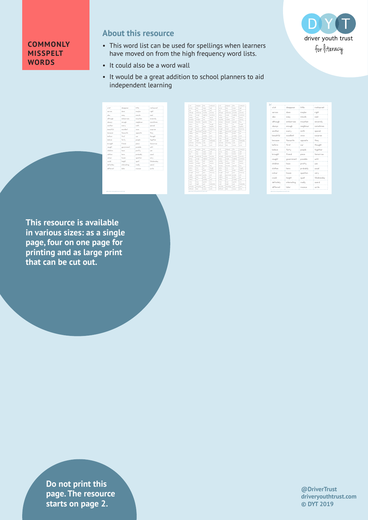## D driver youth trust for literacy

## **COMMONLY MISSPELT WORDS**

## **About this resource**

- This word list can be used for spellings when learners have moved on from the high frequency word lists.
- It could also be a word wall
- It would be a great addition to school planners to aid independent learning

| a lat      | disappear   | little    | restaurant |
|------------|-------------|-----------|------------|
| across<br> | does        | maybe     | right      |
| dao        | eaty        | minute    | soid       |
| dthough    | embarrass   | mountain  | sincerely  |
| always     | enough      | neighbour | someTimes  |
| another    | every       | ninth     | special    |
| begutifi   | excellent   | mm        | surprise   |
| because    | favourite   | opposite  | they       |
| before     | first       | our       | thought    |
| beleve     | forty       | people    | together   |
| brought    | friend      | piece     | tomorrow   |
| cousht     | governmen   | possible  | urbl       |
| childran   | howe        | pretty    | use        |
| defines    | hana        | probably  | usual      |
| colour<br> | house<br>   | question  | very<br>   |
| could      | height      | quiet     | Wednesday  |
| definitely | interesting | really    | weind      |
|            | later       | neceive   | write      |

| × int            | domester                   | <b>ICEN</b>              | reduced                  | $-14$                         | doppear                           | <b>STOP</b>      | rethared            |
|------------------|----------------------------|--------------------------|--------------------------|-------------------------------|-----------------------------------|------------------|---------------------|
| <b>NOT STAY</b>  | <b>And</b>                 | made                     | road                     | served.                       | dom't                             | media            | niet                |
| she.             | material                   | minute                   | <b>Sold</b>              | since                         | <b>COL</b>                        | mouth            | said.               |
| diam'r.          | welcomed.                  | ---                      | <b>Contract Contract</b> | dSmake                        | andorman                          | months           | sources.            |
| slames           | mount                      | milion                   | savačavas                | sheres                        | mouth                             | middless         | <b>Samuel Smart</b> |
| $\sim$           | <b>Publica</b>             | $-1$                     | <b>SCHOOL</b>            | $-$                           | --                                | $\sim$           | <b>CONTRACTOR</b>   |
| <b>Immult(u)</b> | modes!                     | <b>COLOR</b>             | Surface                  | imut fül                      | sunket.                           | <b>COLOR</b>     | sayron              |
| <b>Security</b>  | four-che                   | sound ?-                 | Swy                      | <b><i><u>Distance</u></i></b> | fame de                           | ments            | Tury.               |
| <b>Latine</b>    | find                       | $\sim$                   | Smakl                    | inform                        | first                             | $\sim$           | Small <sup>2</sup>  |
| <b>Leibnum</b>   | for by                     | <b>START</b>             | <b>Sunday</b>            | <b>Index</b>                  | farty                             | <b>Angeles</b>   | <b>Supplier</b>     |
| <b>Import</b>    | front                      | <b>STOP</b>              | Severes                  | <b>Import</b>                 | front                             | since.           | Senator             |
| saakt            | guarante                   | mendelse                 | while                    | medit                         | parented.                         | possible         | $-1$                |
| ship and         | <b>Form</b>                | arettu.                  | <b>Select</b>            | siddle was                    | <b>Force</b>                      | arelly.          | ×.                  |
| skillers         | here.                      | ministr                  | <b>Stand</b>             | sistem                        | han e                             | arabakho         | <b>COL</b>          |
| nine.            | <b>Parcallet</b>           | march born               | ww                       | salar                         | <b><i><u>Index</u></i></b>        | marchine.        | <b>STEP</b>         |
| midd             | <b><i><u>Grand</u></i></b> | nat.                     | Wednesday                | mald                          | <b><i><u>Localid</u></i></b>      | mar <sup>2</sup> | <b>Historia</b>     |
| infectory        | alwedna                    | radu                     | service.                 | def scholar                   | <b>Hore</b> Cour                  | reals            | werd                |
| different.       | later.                     | resear                   | $-1$                     | different                     | <b>Sider</b>                      | receive          | or Co.              |
|                  |                            |                          |                          |                               |                                   |                  |                     |
| $-14$            | domester                   | <b>International</b>     | reduced                  | $-14$                         | domester                          | <b>Inte</b>      | return!             |
| <b>ALCOHOL</b>   | <b>And</b>                 | made                     | rokt                     | served.                       | dom to                            | media            | mid                 |
| she.             | meter                      | minute                   | <b>Sold</b>              | sins.                         | matur.                            | mouth            | said.               |
| diam'r.          | andorman.                  | machin                   | search.                  | dSmake                        | minerate                          | montan           | sources.            |
| slames           | more.                      | middles                  | savedness                | sheres                        | mak                               | middless         | <b>Long Corpo</b>   |
| and on           | <b>PURPY</b>               | od.                      | senial.                  | and how                       | <b>Burnt</b>                      | od.              | special             |
| <b>Littleman</b> | randed.                    | <b>STEP</b>              | Surfacture               | imut fül                      | number?                           | <b>SPACE</b>     | Surface             |
| <b>Security</b>  | finanze das                | ments                    | Swy                      | <b><i><u>Impute</u></i></b>   | fame de                           | specific         | Serv.               |
| <b>Latine</b>    | field                      | $\overline{\phantom{a}}$ | Small                    | inform                        | first                             | $\sim$           | <b>Small</b>        |
| <b>Labour</b>    | Se tu                      | <b>START</b>             | <b>Sunday</b>            | <b>Leiberg</b>                | farty                             | <b>Angeles</b>   | <b>Supplier</b>     |
| <b>Import</b>    | front                      | since                    | Severes                  | <b>Import</b>                 | front                             | aince            | Senator             |
| mobil            | asservent                  | a stalio                 | whit                     | ment                          | announced.                        | essain           | w                   |
| ship and         | <b>Form</b>                | arettu.                  | <b>Sept.</b>             | ship and                      | <b>Force</b>                      | arelly.          | ×.                  |
| skillers         | here.                      | ministr                  | <b>Stand</b>             | sistem                        | here.                             | arabakho         | <b>Second</b>       |
| salar.           | <b>Fender</b>              | mendium                  | <b>Service</b>           | sales a                       | <b>Foruse</b>                     | sundan.          | wy                  |
| mid              | <b>Fundel</b>              | nat.                     | Wednesday                | mald                          | <b><i><u>Installation</u></i></b> | <b>A</b>         | <b>Timbershee</b>   |
| del estatu-      | steeds                     | radu                     | <b>STATE</b>             | defaultely                    | where they                        | reals            | werd                |
|                  |                            |                          |                          |                               |                                   |                  |                     |

different later receive with

different later receive with

| a lot          | disappear   | little    | nesta mad |
|----------------|-------------|-----------|-----------|
| ocross         | done        | maybe     | right     |
| olso           | easy        | minute    | enid      |
| although       | embarrass   | mountain  | sincerely |
| always         | enough      | neighbour | sometimes |
| mother         | every       | ninth     | special   |
| beautiful      | excellent   | once      | surprise  |
| because        | fovourite   | opposite  | they      |
| before         | first       | OLID      | thought   |
| <b>Emlinum</b> | forty       | people    | together  |
| brought        | friend      | piece     | tomorrow  |
| caught         | government  | possible  | until     |
| children       | hown        | pretty    | Listen    |
| clothes        | here        | probably  | cessel.   |
| colour         | house       | question  | very      |
| could          | height      | quiet     | Wednesday |
| definitely     | interesting | really    | weind     |
| different      | later       | Enceive   | write     |

**This resource is available in various sizes: as a single page, four on one page for printing and as large print that can be cut out.**

> **Do not print this page. The resource starts on page 2.**

**@DriverTrust driveryouthtrust.com © DYT 2019**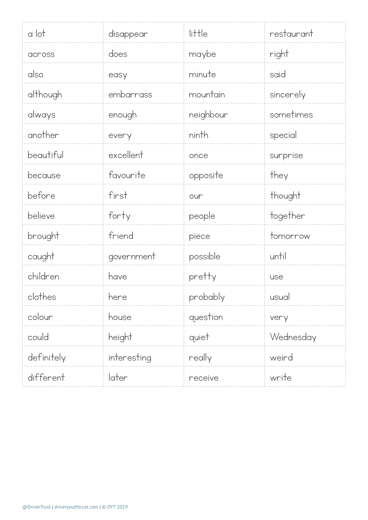| a lot      | disappear   | $\mathsf{l}$ i $\mathsf{t}$ $\mathsf{t}$ $\mathsf{l}$ e | restaurant |
|------------|-------------|---------------------------------------------------------|------------|
| across     | does        | maybe                                                   | right      |
| also       | easy        | minute                                                  | said       |
| although   | embarrass   | mountain                                                | sincerely  |
| always     | enough      | neighbour                                               | sometimes  |
| another    | every       | ninth                                                   | special    |
| beautiful  | excellent   | once                                                    | surprise   |
| because    | favourite   | opposite                                                | they       |
| before     | first       | our                                                     | thought    |
| believe    | forty       | people                                                  | together   |
| brought    | friend      | piece                                                   | tomorrow   |
| caught     | government  | possible                                                | until      |
| children   | have        | pretty                                                  | use        |
| clothes    | here        | probably                                                | usual      |
| colour     | house       | question                                                | very       |
| could      | height      | quiet                                                   | Wednesday  |
| definitely | interesting | really                                                  | weird      |
| different  | later       | receive                                                 | write      |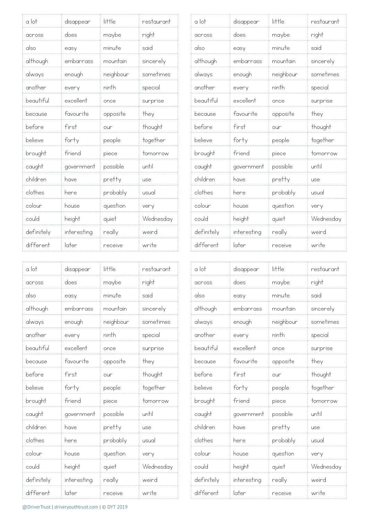| a lot      | disappear   | little    | restaurant |
|------------|-------------|-----------|------------|
| across     | does        | maybe     | right      |
| also       | easy        | minute    | said       |
| although   | embarrass   | mountain  | sincerely  |
| always     | enough      | neighbour | sometimes  |
| another    | every       | ninth     | special    |
| beautiful  | excellent   | once      | surprise   |
| because    | favourite   | opposite  | they       |
| before     | first       | our       | thought    |
| believe    | forty       | people    | together   |
| brought    | friend      | piece     | tomorrow   |
| caught     | government  | possible  | until      |
| children   | have        | pretty    | use        |
| clothes    | here        | probably  | usual      |
| colour     | house       | question  | very       |
| could      | height      | quiet     | Wednesday  |
| definitely | interesting | really    | weird      |
| different  | later       | receive   | write      |

| a lot      | disappear   | little    | restaurant |
|------------|-------------|-----------|------------|
| across     | does        | maybe     | right      |
| also       | easy        | minute    | said       |
| although   | embarrass   | mountain  | sincerely  |
| always     | enough      | neighbour | sometimes  |
| another    | every       | ninth     | special    |
| beautiful  | excellent   | once      | surprise   |
| because    | favourite   | opposite  | they       |
| before     | first       | our       | thought    |
| believe    | forty       | people    | together   |
| brought    | friend      | piece     | tomorrow   |
| caught     | government  | possible  | until      |
| children   | have        | pretty    | use        |
| clothes    | here        | probably  | usual      |
| colour     | house       | question  | very       |
| could      | height      | quiet     | Wednesday  |
| definitely | interesting | really    | weird      |
| different  | later       | receive   | write      |

| a lot      | disappear   | little    | restaurant |
|------------|-------------|-----------|------------|
| across     | does        | maybe     | right      |
| also       | easy        | minute    | hinz       |
| although   | embarrass   | mountain  | sincerely  |
| always     | enough      | neighbour | sometimes  |
| another    | every       | ninth     | special    |
| beautiful  | excellent   | once      | surprise   |
| because    | favourite   | opposite  | they       |
| before     | first       | our       | thought    |
| believe    | forty       | people    | together   |
| brought    | friend      | piece     | tomorrow   |
| caught     | government  | possible  | until      |
| children   | have        | pretty    | use        |
| clothes    | here        | probably  | usual      |
| colour     | house       | question  | very       |
| could      | height      | quiet     | Wednesday  |
| definitely | interesting | really    | weird      |
| different  | later       | receive   | write      |

| a lot      | disappear   | little    | restaurant |
|------------|-------------|-----------|------------|
| across     | does        | maybe     | right      |
| also       | easy        | minute    | said       |
| although   | embarrass   | mountain  | sincerely  |
| always     | enough      | neighbour | sometimes  |
| another    | every       | ninth     | special    |
| beautiful  | excellent   | once      | surprise   |
| because    | favourite   | opposite  | they       |
| before     | first       | our       | thought    |
| believe    | forty       | people    | together   |
| brought    | friend      | piece     | tomorrow   |
| caught     | government  | possible  | until      |
| children   | have        | pretty    | use        |
| clothes    | here        | probably  | usual      |
| colour     | house       | question  | very       |
| could      | height      | quiet     | Wednesday  |
| definitely | interesting | really    | weird      |
| different  | later       | receive   | write      |